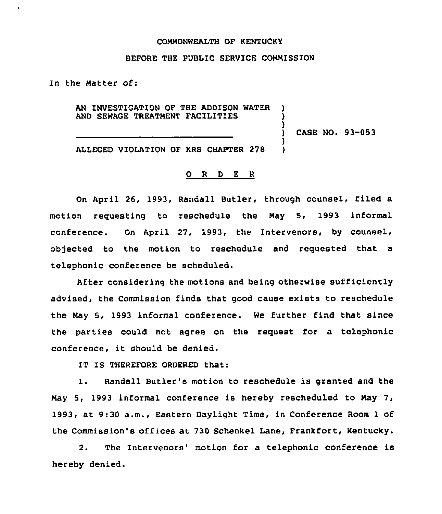## COMMONWEALTH OF KENTUCKY

## BEFORE THE PUBLIC SERVICE COMMISSION

In the Matter of:

AN INVESTIGATION OF THE ADDISON WATER AND SEWAGE TREATMENT FACILITIES

CASE NO. 93-053

) ) )<br>)

> 1 )

ALLEGED VIOLATION OF KRS CHAPTER 278

## 0 R <sup>D</sup> E R

On April 26, 1993, Randall Butler, through counsel, filed a motion requesting to reschedule the May 5, 1993 informal conference. On April 27, 1993, the Intervenors, by counsel, objected to the motion to reschedule and requested that a telephonic conference be scheduled.

After considering the motions and being otherwise sufficiently advised, the Commission finds that good cause exists to reschedule the May 5, 1993 informal conference. We further find that since the parties could not agree on the request for a telephonic conference, it should be denied.

IT IS THEREFORE ORDERED that:

 $\mathbf{1}$ . Randall Butler's motion to reschedule is granted and the May 5, 1993 informal conference is hereby rescheduled to May 7, 1993, at 9:30 a.m., Eastern Daylight Time, in Conference Room 1 of the Commission's offices at 730 Schenkel Lane, Frankfort, Kentucky.

2. The Intervenors' motion for a telephonic conference is hereby denied.